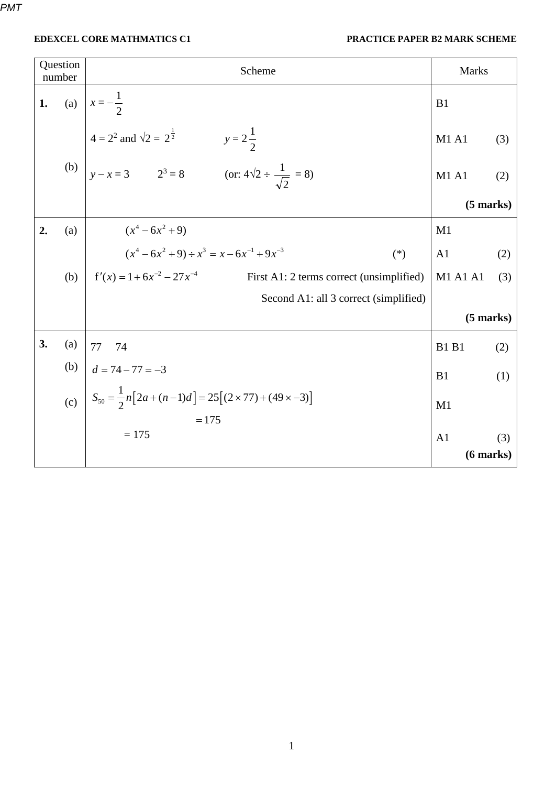| Question<br>number |     | Scheme                                                                                                                                        | <b>Marks</b>    |                |  |
|--------------------|-----|-----------------------------------------------------------------------------------------------------------------------------------------------|-----------------|----------------|--|
| 1.                 |     | (a) $x = -\frac{1}{2}$                                                                                                                        | B <sub>1</sub>  |                |  |
|                    |     |                                                                                                                                               | <b>M1 A1</b>    | (3)            |  |
|                    |     | (b) $4 = 2^2$ and $\sqrt{2} = 2^{\frac{1}{2}}$ $y = 2\frac{1}{2}$<br>(b) $y - x = 3$ $2^3 = 8$ (or: $4\sqrt{2} \div \frac{1}{\sqrt{2}} = 8$ ) | <b>M1 A1</b>    | (2)            |  |
|                    |     |                                                                                                                                               | $(5$ marks)     |                |  |
| 2.                 | (a) | $(x^4-6x^2+9)$                                                                                                                                | M1              |                |  |
|                    |     | $(x4 - 6x2 + 9) \div x3 = x - 6x-1 + 9x-3$<br>$(*)$                                                                                           | A <sub>1</sub>  | (2)            |  |
|                    | (b) | $f'(x) = 1 + 6x^{-2} - 27x^{-4}$<br>First A1: 2 terms correct (unsimplified)                                                                  | <b>M1 A1 A1</b> | (3)            |  |
|                    |     | Second A1: all 3 correct (simplified)                                                                                                         |                 |                |  |
|                    |     |                                                                                                                                               | $(5$ marks)     |                |  |
| 3.                 | (a) | 77<br>74                                                                                                                                      | <b>B1 B1</b>    | (2)            |  |
|                    | (b) | $d = 74 - 77 = -3$                                                                                                                            | B1              | (1)            |  |
|                    |     | (c) $S_{50} = \frac{1}{2}n[2a + (n-1)d] = 25[(2 \times 77) + (49 \times -3)]$                                                                 | M1              |                |  |
|                    |     | $= 175$<br>$= 175$                                                                                                                            | A <sub>1</sub>  | (3)            |  |
|                    |     |                                                                                                                                               |                 | $(6$ marks $)$ |  |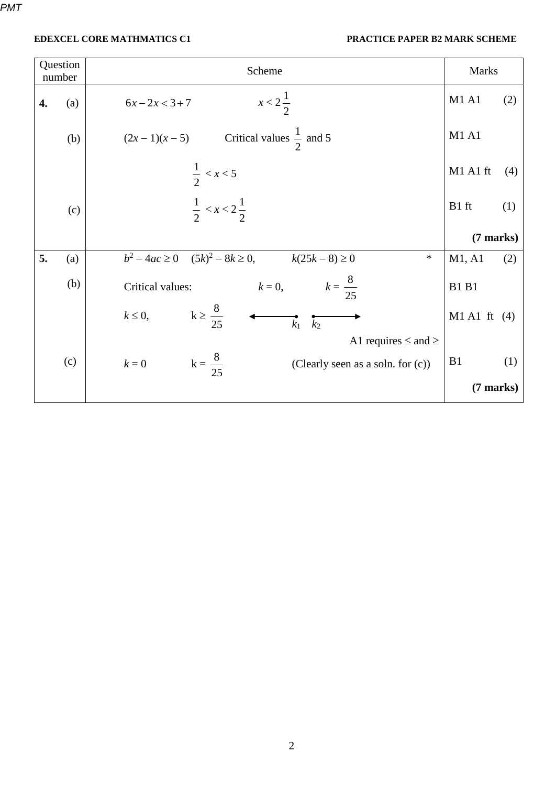| Question<br>number |     | Scheme                                                                     | <b>Marks</b>    |  |
|--------------------|-----|----------------------------------------------------------------------------|-----------------|--|
| 4.                 | (a) | $x < 2\frac{1}{2}$<br>$6x - 2x < 3 + 7$                                    | M1 A1<br>(2)    |  |
|                    | (b) | $(2x-1)(x-5)$ Critical values $\frac{1}{2}$ and 5                          | M1 A1           |  |
|                    |     | $\frac{1}{2}$ < x < 5                                                      | M1 A1 ft<br>(4) |  |
|                    | (c) | $\frac{1}{2}$ < x < 2 $\frac{1}{2}$                                        | B1 ft<br>(1)    |  |
|                    |     |                                                                            | (7 marks)       |  |
| 5.                 | (a) | $b^2 - 4ac \ge 0$ $(5k)^2 - 8k \ge 0$ , $k(25k - 8) \ge 0$<br>$\ast$       | M1, A1<br>(2)   |  |
|                    | (b) | $k = 0,$ $k = \frac{8}{25}$<br>Critical values:                            | <b>B1 B1</b>    |  |
|                    |     | $k \geq \frac{8}{25}$<br>$k \leq 0$ ,<br>$\overline{k_1}$ $\overline{k_2}$ | $M1$ A1 ft (4)  |  |
|                    |     | A1 requires $\le$ and $\ge$                                                |                 |  |
|                    | (c) | $k = 0$ $k = \frac{8}{25}$<br>(Clearly seen as a soln. for (c))            | B1<br>(1)       |  |
|                    |     |                                                                            | $(7$ marks)     |  |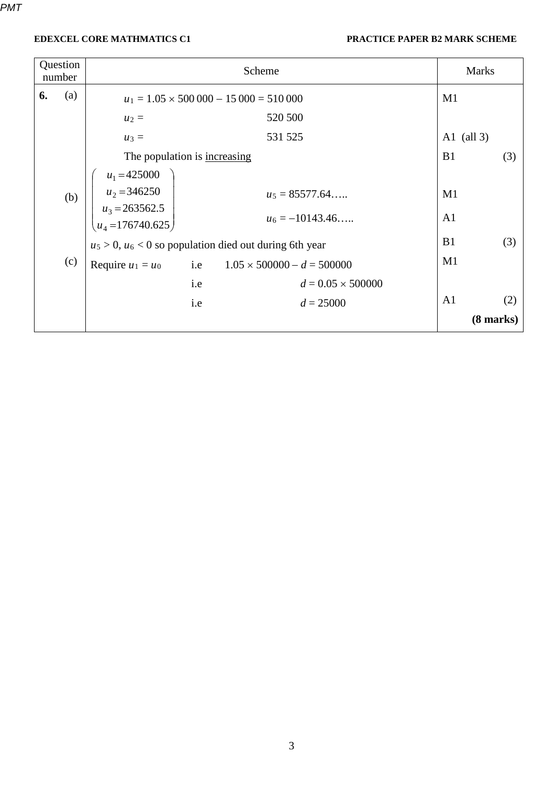| Question<br>number |     |                                                                    |            | Scheme                            |                | <b>Marks</b>        |  |
|--------------------|-----|--------------------------------------------------------------------|------------|-----------------------------------|----------------|---------------------|--|
| 6.                 | (a) | $u_1 = 1.05 \times 500\,000 - 15\,000 = 510\,000$                  |            | M1                                |                |                     |  |
|                    |     | $u_2 =$                                                            |            | 520 500                           |                |                     |  |
|                    |     | $u_3 =$                                                            |            | 531 525                           | A1 (all $3$ )  |                     |  |
|                    |     | The population is increasing                                       |            |                                   | B1             | (3)                 |  |
|                    |     | $u_1 = 425000$                                                     |            |                                   |                |                     |  |
|                    | (b) | $u_2 = 346250$                                                     |            | $u_5 = 85577.64$                  | M1             |                     |  |
|                    |     | $\begin{bmatrix} u_3 = 263562.5 \\ u_4 = 176740.625 \end{bmatrix}$ |            | $u_6 = -10143.46$                 | A <sub>1</sub> |                     |  |
|                    |     | $u_5 > 0$ , $u_6 < 0$ so population died out during 6th year       |            |                                   | B <sub>1</sub> | (3)                 |  |
|                    | (c) | Require $u_1 = u_0$                                                | <i>i.e</i> | $1.05 \times 500000 - d = 500000$ | M1             |                     |  |
|                    |     |                                                                    | <i>i.e</i> | $d = 0.05 \times 500000$          |                |                     |  |
|                    |     |                                                                    | i.e        | $d = 25000$                       | A <sub>1</sub> | (2)                 |  |
|                    |     |                                                                    |            |                                   |                | $(8 \text{ marks})$ |  |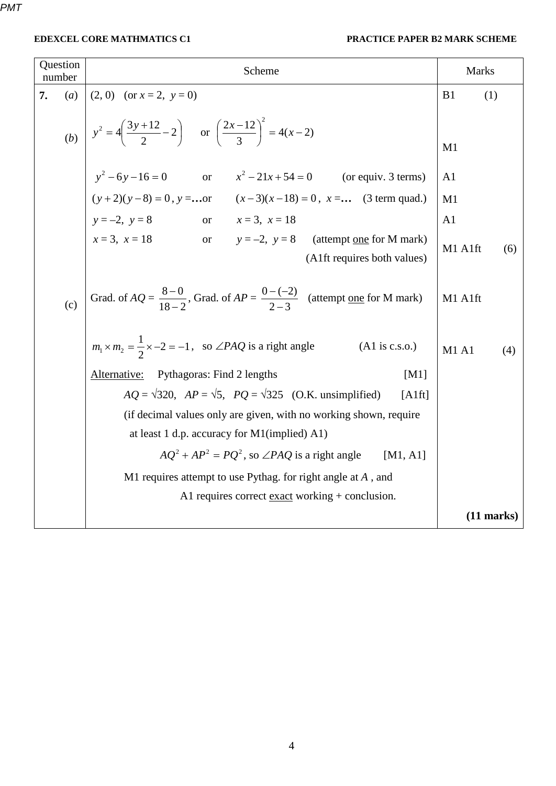| Question<br>number |     | Scheme                                                                                                                                    |                | Marks        |  |
|--------------------|-----|-------------------------------------------------------------------------------------------------------------------------------------------|----------------|--------------|--|
| 7.                 | (a) | $(2, 0)$ (or $x = 2$ , $y = 0$ )                                                                                                          | B1             | (1)          |  |
|                    |     | (b) $y^2 = 4\left(\frac{3y+12}{2} - 2\right)$ or $\left(\frac{2x-12}{3}\right)^2 = 4(x-2)$                                                | M1             |              |  |
|                    |     | $y^2 - 6y - 16 = 0$ or $x^2 - 21x + 54 = 0$ (or equiv. 3 terms)<br>$(y+2)(y-8) = 0$ , $y = $ or $(x-3)(x-18) = 0$ , $x = $ (3 term quad.) | A <sub>1</sub> |              |  |
|                    |     |                                                                                                                                           | M1             |              |  |
|                    |     | $y = -2, y = 8$ or $x = 3, x = 18$                                                                                                        | A <sub>1</sub> |              |  |
|                    |     | $x = 3$ , $x = 18$ or $y = -2$ , $y = 8$ (attempt one for M mark)<br>(A1ft requires both values)                                          | M1 A1ft        | (6)          |  |
|                    | (c) | Grad. of $AQ = \frac{8-0}{18-2}$ , Grad. of $AP = \frac{0-(-2)}{2-3}$ (attempt <u>one</u> for M mark)                                     | M1 A1ft        |              |  |
|                    |     | $m_1 \times m_2 = \frac{1}{2} \times -2 = -1$ , so $\angle PAQ$ is a right angle<br>$(A1 \text{ is c.s.}o.)$                              | M1A1           | (4)          |  |
|                    |     | Alternative:<br>Pythagoras: Find 2 lengths<br>[M1]                                                                                        |                |              |  |
|                    |     | $AQ = \sqrt{320}$ , $AP = \sqrt{5}$ , $PQ = \sqrt{325}$ (O.K. unsimplified)<br>[Alft]                                                     |                |              |  |
|                    |     | (if decimal values only are given, with no working shown, require                                                                         |                |              |  |
|                    |     | at least 1 d.p. accuracy for M1(implied) A1)                                                                                              |                |              |  |
|                    |     | $AO^2 + AP^2 = PO^2$ , so $\angle PAQ$ is a right angle<br>[M1, A1]                                                                       |                |              |  |
|                    |     | M1 requires attempt to use Pythag. for right angle at $A$ , and                                                                           |                |              |  |
|                    |     | A1 requires correct exact working + conclusion.                                                                                           |                |              |  |
|                    |     |                                                                                                                                           |                | $(11$ marks) |  |